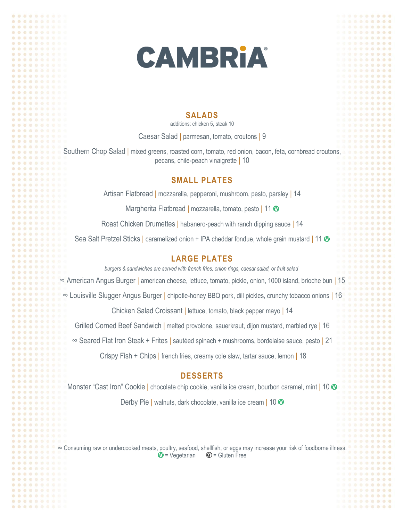

. . . . . . . .

. . . . . . . .

. . . . . . . .

...... ........

....... . . . . . .

.......

........

#### **SALADS**

additions: chicken 5, steak 10

Caesar Salad | parmesan, tomato, croutons | 9

Southern Chop Salad | mixed greens, roasted corn, tomato, red onion, bacon, feta, cornbread croutons, pecans, chile-peach vinaigrette | 10

## **SMALL PLATES**

Artisan Flatbread | mozzarella, pepperoni, mushroom, pesto, parsley | 14

Margherita Flatbread | mozzarella, tomato, pesto | 11 0

Roast Chicken Drumettes | habanero-peach with ranch dipping sauce | 14

Sea Salt Pretzel Sticks | caramelized onion + IPA cheddar fondue, whole grain mustard | 11 0

## **LARGE PLATES**

*burgers & sandwiches are served with french fries, onion rings, caesar salad, or fruit salad*

∞ American Angus Burger | american cheese, lettuce, tomato, pickle, onion, 1000 island, brioche bun | 15

∞ Louisville Slugger Angus Burger | chipotle-honey BBQ pork, dill pickles, crunchy tobacco onions | 16

Chicken Salad Croissant | lettuce, tomato, black pepper mayo | 14

Grilled Corned Beef Sandwich | melted provolone, sauerkraut, dijon mustard, marbled rye | 16

∞ Seared Flat Iron Steak + Frites | sautéed spinach + mushrooms, bordelaise sauce, pesto | 21

Crispy Fish + Chips | french fries, creamy cole slaw, tartar sauce, lemon | 18

### **DESSERTS**

Monster "Cast Iron" Cookie | chocolate chip cookie, vanilla ice cream, bourbon caramel, mint | 10 0 Derby Pie | walnuts, dark chocolate, vanilla ice cream | 10 0

∞ Consuming raw or undercooked meats, poultry, seafood, shellfish, or eggs may increase your risk of foodborne illness.  $$